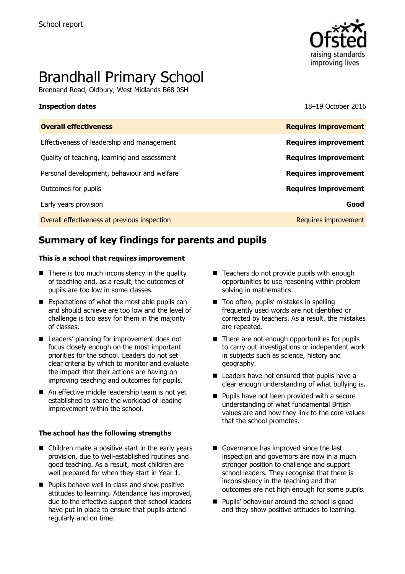

# Brandhall Primary School

Brennand Road, Oldbury, West Midlands B68 0SH

**Inspection dates** 18–19 October 2016

| <b>Overall effectiveness</b>                 | <b>Requires improvement</b> |
|----------------------------------------------|-----------------------------|
| Effectiveness of leadership and management   | <b>Requires improvement</b> |
| Quality of teaching, learning and assessment | <b>Requires improvement</b> |
| Personal development, behaviour and welfare  | <b>Requires improvement</b> |
| Outcomes for pupils                          | <b>Requires improvement</b> |
| Early years provision                        | Good                        |
| Overall effectiveness at previous inspection | Requires improvement        |

# **Summary of key findings for parents and pupils**

### **This is a school that requires improvement**

- There is too much inconsistency in the quality of teaching and, as a result, the outcomes of pupils are too low in some classes.
- $\blacksquare$  Expectations of what the most able pupils can and should achieve are too low and the level of challenge is too easy for them in the majority of classes.
- Leaders' planning for improvement does not focus closely enough on the most important priorities for the school. Leaders do not set clear criteria by which to monitor and evaluate the impact that their actions are having on improving teaching and outcomes for pupils.
- An effective middle leadership team is not yet established to share the workload of leading improvement within the school.

### **The school has the following strengths**

- Children make a positive start in the early years provision, due to well-established routines and good teaching. As a result, most children are well prepared for when they start in Year 1.
- $\blacksquare$  Pupils behave well in class and show positive attitudes to learning. Attendance has improved, due to the effective support that school leaders have put in place to ensure that pupils attend regularly and on time.
- $\blacksquare$  Teachers do not provide pupils with enough opportunities to use reasoning within problem solving in mathematics.
- Too often, pupils' mistakes in spelling frequently used words are not identified or corrected by teachers. As a result, the mistakes are repeated.
- $\blacksquare$  There are not enough opportunities for pupils to carry out investigations or independent work in subjects such as science, history and geography.
- $\blacksquare$  Leaders have not ensured that pupils have a clear enough understanding of what bullying is.
- **Pupils have not been provided with a secure** understanding of what fundamental British values are and how they link to the core values that the school promotes.
- Governance has improved since the last inspection and governors are now in a much stronger position to challenge and support school leaders. They recognise that there is inconsistency in the teaching and that outcomes are not high enough for some pupils.
- **Pupils' behaviour around the school is good** and they show positive attitudes to learning.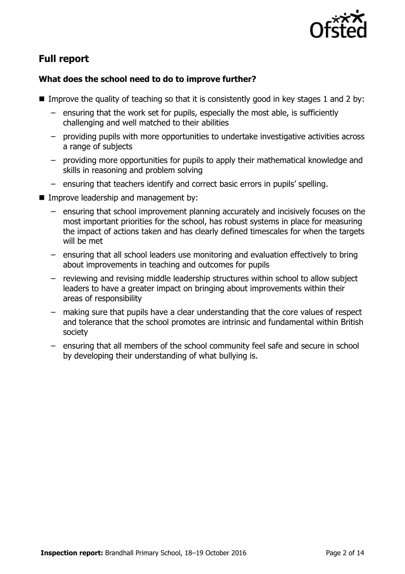

# **Full report**

### **What does the school need to do to improve further?**

- Improve the quality of teaching so that it is consistently good in key stages 1 and 2 by:
	- ensuring that the work set for pupils, especially the most able, is sufficiently challenging and well matched to their abilities
	- providing pupils with more opportunities to undertake investigative activities across a range of subjects
	- providing more opportunities for pupils to apply their mathematical knowledge and skills in reasoning and problem solving
	- ensuring that teachers identify and correct basic errors in pupils' spelling.
- **Improve leadership and management by:** 
	- ensuring that school improvement planning accurately and incisively focuses on the most important priorities for the school, has robust systems in place for measuring the impact of actions taken and has clearly defined timescales for when the targets will be met
	- ensuring that all school leaders use monitoring and evaluation effectively to bring about improvements in teaching and outcomes for pupils
	- reviewing and revising middle leadership structures within school to allow subject leaders to have a greater impact on bringing about improvements within their areas of responsibility
	- making sure that pupils have a clear understanding that the core values of respect and tolerance that the school promotes are intrinsic and fundamental within British society
	- ensuring that all members of the school community feel safe and secure in school by developing their understanding of what bullying is.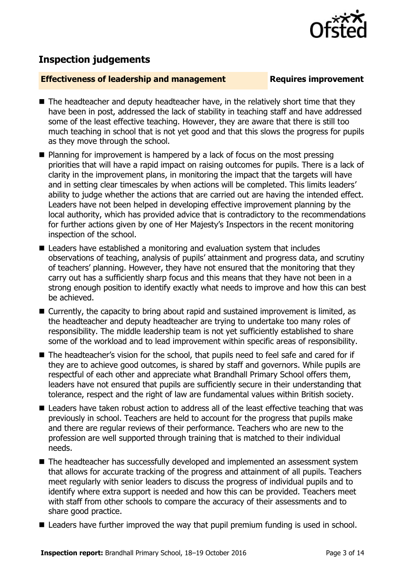

# **Inspection judgements**

### **Effectiveness of leadership and management Requires improvement**

- $\blacksquare$  The headteacher and deputy headteacher have, in the relatively short time that they have been in post, addressed the lack of stability in teaching staff and have addressed some of the least effective teaching. However, they are aware that there is still too much teaching in school that is not yet good and that this slows the progress for pupils as they move through the school.
- Planning for improvement is hampered by a lack of focus on the most pressing priorities that will have a rapid impact on raising outcomes for pupils. There is a lack of clarity in the improvement plans, in monitoring the impact that the targets will have and in setting clear timescales by when actions will be completed. This limits leaders' ability to judge whether the actions that are carried out are having the intended effect. Leaders have not been helped in developing effective improvement planning by the local authority, which has provided advice that is contradictory to the recommendations for further actions given by one of Her Majesty's Inspectors in the recent monitoring inspection of the school.
- Leaders have established a monitoring and evaluation system that includes observations of teaching, analysis of pupils' attainment and progress data, and scrutiny of teachers' planning. However, they have not ensured that the monitoring that they carry out has a sufficiently sharp focus and this means that they have not been in a strong enough position to identify exactly what needs to improve and how this can best be achieved.
- Currently, the capacity to bring about rapid and sustained improvement is limited, as the headteacher and deputy headteacher are trying to undertake too many roles of responsibility. The middle leadership team is not yet sufficiently established to share some of the workload and to lead improvement within specific areas of responsibility.
- The headteacher's vision for the school, that pupils need to feel safe and cared for if they are to achieve good outcomes, is shared by staff and governors. While pupils are respectful of each other and appreciate what Brandhall Primary School offers them, leaders have not ensured that pupils are sufficiently secure in their understanding that tolerance, respect and the right of law are fundamental values within British society.
- Leaders have taken robust action to address all of the least effective teaching that was previously in school. Teachers are held to account for the progress that pupils make and there are regular reviews of their performance. Teachers who are new to the profession are well supported through training that is matched to their individual needs.
- The headteacher has successfully developed and implemented an assessment system that allows for accurate tracking of the progress and attainment of all pupils. Teachers meet regularly with senior leaders to discuss the progress of individual pupils and to identify where extra support is needed and how this can be provided. Teachers meet with staff from other schools to compare the accuracy of their assessments and to share good practice.
- Leaders have further improved the way that pupil premium funding is used in school.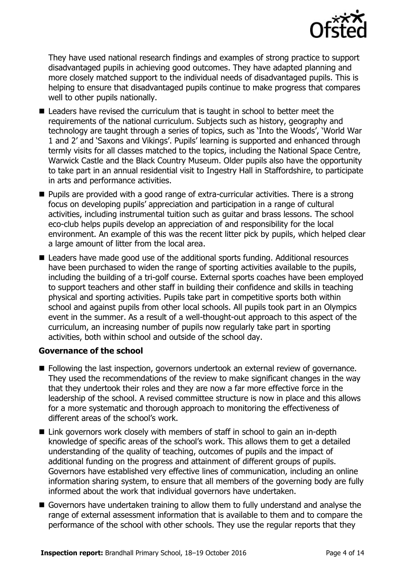

They have used national research findings and examples of strong practice to support disadvantaged pupils in achieving good outcomes. They have adapted planning and more closely matched support to the individual needs of disadvantaged pupils. This is helping to ensure that disadvantaged pupils continue to make progress that compares well to other pupils nationally.

- Leaders have revised the curriculum that is taught in school to better meet the requirements of the national curriculum. Subjects such as history, geography and technology are taught through a series of topics, such as 'Into the Woods', 'World War 1 and 2' and 'Saxons and Vikings'. Pupils' learning is supported and enhanced through termly visits for all classes matched to the topics, including the National Space Centre, Warwick Castle and the Black Country Museum. Older pupils also have the opportunity to take part in an annual residential visit to Ingestry Hall in Staffordshire, to participate in arts and performance activities.
- Pupils are provided with a good range of extra-curricular activities. There is a strong focus on developing pupils' appreciation and participation in a range of cultural activities, including instrumental tuition such as guitar and brass lessons. The school eco-club helps pupils develop an appreciation of and responsibility for the local environment. An example of this was the recent litter pick by pupils, which helped clear a large amount of litter from the local area.
- Leaders have made good use of the additional sports funding. Additional resources have been purchased to widen the range of sporting activities available to the pupils, including the building of a tri-golf course. External sports coaches have been employed to support teachers and other staff in building their confidence and skills in teaching physical and sporting activities. Pupils take part in competitive sports both within school and against pupils from other local schools. All pupils took part in an Olympics event in the summer. As a result of a well-thought-out approach to this aspect of the curriculum, an increasing number of pupils now regularly take part in sporting activities, both within school and outside of the school day.

### **Governance of the school**

- **Following the last inspection, governors undertook an external review of governance.** They used the recommendations of the review to make significant changes in the way that they undertook their roles and they are now a far more effective force in the leadership of the school. A revised committee structure is now in place and this allows for a more systematic and thorough approach to monitoring the effectiveness of different areas of the school's work.
- Link governors work closely with members of staff in school to gain an in-depth knowledge of specific areas of the school's work. This allows them to get a detailed understanding of the quality of teaching, outcomes of pupils and the impact of additional funding on the progress and attainment of different groups of pupils. Governors have established very effective lines of communication, including an online information sharing system, to ensure that all members of the governing body are fully informed about the work that individual governors have undertaken.
- Governors have undertaken training to allow them to fully understand and analyse the range of external assessment information that is available to them and to compare the performance of the school with other schools. They use the regular reports that they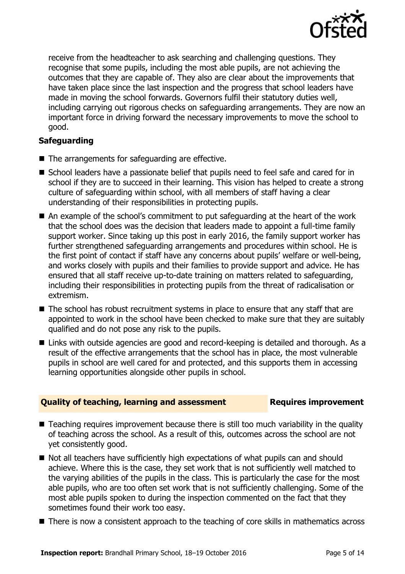

receive from the headteacher to ask searching and challenging questions. They recognise that some pupils, including the most able pupils, are not achieving the outcomes that they are capable of. They also are clear about the improvements that have taken place since the last inspection and the progress that school leaders have made in moving the school forwards. Governors fulfil their statutory duties well, including carrying out rigorous checks on safeguarding arrangements. They are now an important force in driving forward the necessary improvements to move the school to good.

### **Safeguarding**

- $\blacksquare$  The arrangements for safeguarding are effective.
- School leaders have a passionate belief that pupils need to feel safe and cared for in school if they are to succeed in their learning. This vision has helped to create a strong culture of safeguarding within school, with all members of staff having a clear understanding of their responsibilities in protecting pupils.
- An example of the school's commitment to put safeguarding at the heart of the work that the school does was the decision that leaders made to appoint a full-time family support worker. Since taking up this post in early 2016, the family support worker has further strengthened safeguarding arrangements and procedures within school. He is the first point of contact if staff have any concerns about pupils' welfare or well-being, and works closely with pupils and their families to provide support and advice. He has ensured that all staff receive up-to-date training on matters related to safeguarding, including their responsibilities in protecting pupils from the threat of radicalisation or extremism.
- The school has robust recruitment systems in place to ensure that any staff that are appointed to work in the school have been checked to make sure that they are suitably qualified and do not pose any risk to the pupils.
- Links with outside agencies are good and record-keeping is detailed and thorough. As a result of the effective arrangements that the school has in place, the most vulnerable pupils in school are well cared for and protected, and this supports them in accessing learning opportunities alongside other pupils in school.

### **Quality of teaching, learning and assessment Requires improvement**

- Teaching requires improvement because there is still too much variability in the quality of teaching across the school. As a result of this, outcomes across the school are not yet consistently good.
- Not all teachers have sufficiently high expectations of what pupils can and should achieve. Where this is the case, they set work that is not sufficiently well matched to the varying abilities of the pupils in the class. This is particularly the case for the most able pupils, who are too often set work that is not sufficiently challenging. Some of the most able pupils spoken to during the inspection commented on the fact that they sometimes found their work too easy.
- There is now a consistent approach to the teaching of core skills in mathematics across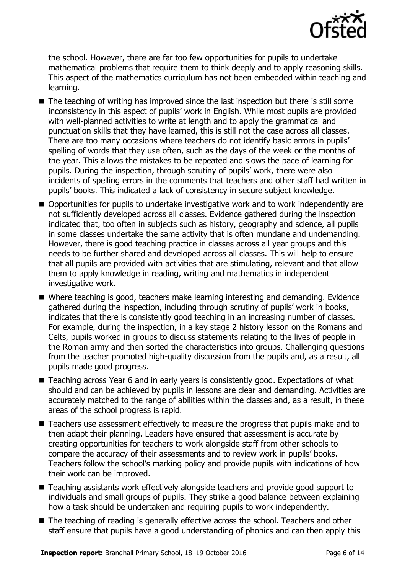

the school. However, there are far too few opportunities for pupils to undertake mathematical problems that require them to think deeply and to apply reasoning skills. This aspect of the mathematics curriculum has not been embedded within teaching and learning.

- $\blacksquare$  The teaching of writing has improved since the last inspection but there is still some inconsistency in this aspect of pupils' work in English. While most pupils are provided with well-planned activities to write at length and to apply the grammatical and punctuation skills that they have learned, this is still not the case across all classes. There are too many occasions where teachers do not identify basic errors in pupils' spelling of words that they use often, such as the days of the week or the months of the year. This allows the mistakes to be repeated and slows the pace of learning for pupils. During the inspection, through scrutiny of pupils' work, there were also incidents of spelling errors in the comments that teachers and other staff had written in pupils' books. This indicated a lack of consistency in secure subject knowledge.
- Opportunities for pupils to undertake investigative work and to work independently are not sufficiently developed across all classes. Evidence gathered during the inspection indicated that, too often in subjects such as history, geography and science, all pupils in some classes undertake the same activity that is often mundane and undemanding. However, there is good teaching practice in classes across all year groups and this needs to be further shared and developed across all classes. This will help to ensure that all pupils are provided with activities that are stimulating, relevant and that allow them to apply knowledge in reading, writing and mathematics in independent investigative work.
- Where teaching is good, teachers make learning interesting and demanding. Evidence gathered during the inspection, including through scrutiny of pupils' work in books, indicates that there is consistently good teaching in an increasing number of classes. For example, during the inspection, in a key stage 2 history lesson on the Romans and Celts, pupils worked in groups to discuss statements relating to the lives of people in the Roman army and then sorted the characteristics into groups. Challenging questions from the teacher promoted high-quality discussion from the pupils and, as a result, all pupils made good progress.
- Teaching across Year 6 and in early years is consistently good. Expectations of what should and can be achieved by pupils in lessons are clear and demanding. Activities are accurately matched to the range of abilities within the classes and, as a result, in these areas of the school progress is rapid.
- Teachers use assessment effectively to measure the progress that pupils make and to then adapt their planning. Leaders have ensured that assessment is accurate by creating opportunities for teachers to work alongside staff from other schools to compare the accuracy of their assessments and to review work in pupils' books. Teachers follow the school's marking policy and provide pupils with indications of how their work can be improved.
- Teaching assistants work effectively alongside teachers and provide good support to individuals and small groups of pupils. They strike a good balance between explaining how a task should be undertaken and requiring pupils to work independently.
- The teaching of reading is generally effective across the school. Teachers and other staff ensure that pupils have a good understanding of phonics and can then apply this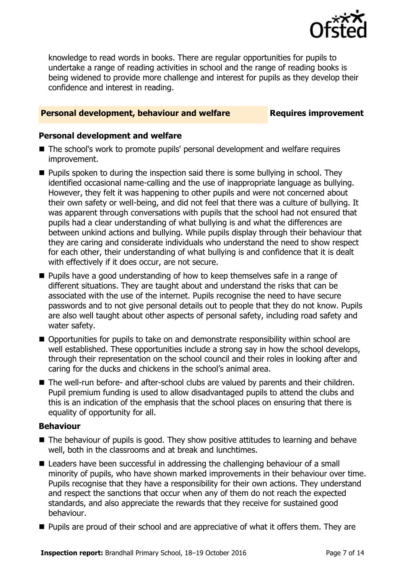

knowledge to read words in books. There are regular opportunities for pupils to undertake a range of reading activities in school and the range of reading books is being widened to provide more challenge and interest for pupils as they develop their confidence and interest in reading.

### **Personal development, behaviour and welfare Fig. 2.1 Requires improvement**

### **Personal development and welfare**

- The school's work to promote pupils' personal development and welfare requires improvement.
- **Pupils spoken to during the inspection said there is some bullying in school. They** identified occasional name-calling and the use of inappropriate language as bullying. However, they felt it was happening to other pupils and were not concerned about their own safety or well-being, and did not feel that there was a culture of bullying. It was apparent through conversations with pupils that the school had not ensured that pupils had a clear understanding of what bullying is and what the differences are between unkind actions and bullying. While pupils display through their behaviour that they are caring and considerate individuals who understand the need to show respect for each other, their understanding of what bullying is and confidence that it is dealt with effectively if it does occur, are not secure.
- **Pupils have a good understanding of how to keep themselves safe in a range of** different situations. They are taught about and understand the risks that can be associated with the use of the internet. Pupils recognise the need to have secure passwords and to not give personal details out to people that they do not know. Pupils are also well taught about other aspects of personal safety, including road safety and water safety.
- Opportunities for pupils to take on and demonstrate responsibility within school are well established. These opportunities include a strong say in how the school develops, through their representation on the school council and their roles in looking after and caring for the ducks and chickens in the school's animal area.
- The well-run before- and after-school clubs are valued by parents and their children. Pupil premium funding is used to allow disadvantaged pupils to attend the clubs and this is an indication of the emphasis that the school places on ensuring that there is equality of opportunity for all.

### **Behaviour**

- The behaviour of pupils is good. They show positive attitudes to learning and behave well, both in the classrooms and at break and lunchtimes.
- Leaders have been successful in addressing the challenging behaviour of a small minority of pupils, who have shown marked improvements in their behaviour over time. Pupils recognise that they have a responsibility for their own actions. They understand and respect the sanctions that occur when any of them do not reach the expected standards, and also appreciate the rewards that they receive for sustained good behaviour.
- **Pupils are proud of their school and are appreciative of what it offers them. They are**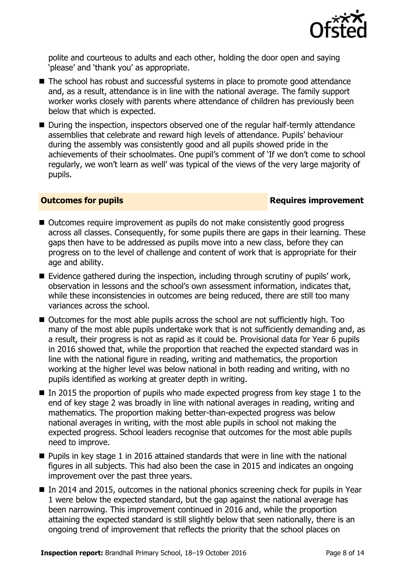

polite and courteous to adults and each other, holding the door open and saying 'please' and 'thank you' as appropriate.

- The school has robust and successful systems in place to promote good attendance and, as a result, attendance is in line with the national average. The family support worker works closely with parents where attendance of children has previously been below that which is expected.
- During the inspection, inspectors observed one of the regular half-termly attendance assemblies that celebrate and reward high levels of attendance. Pupils' behaviour during the assembly was consistently good and all pupils showed pride in the achievements of their schoolmates. One pupil's comment of 'If we don't come to school regularly, we won't learn as well' was typical of the views of the very large majority of pupils.

### **Outcomes for pupils Requires improvement**

- Outcomes require improvement as pupils do not make consistently good progress across all classes. Consequently, for some pupils there are gaps in their learning. These gaps then have to be addressed as pupils move into a new class, before they can progress on to the level of challenge and content of work that is appropriate for their age and ability.
- $\blacksquare$  Evidence gathered during the inspection, including through scrutiny of pupils' work, observation in lessons and the school's own assessment information, indicates that, while these inconsistencies in outcomes are being reduced, there are still too many variances across the school.
- Outcomes for the most able pupils across the school are not sufficiently high. Too many of the most able pupils undertake work that is not sufficiently demanding and, as a result, their progress is not as rapid as it could be. Provisional data for Year 6 pupils in 2016 showed that, while the proportion that reached the expected standard was in line with the national figure in reading, writing and mathematics, the proportion working at the higher level was below national in both reading and writing, with no pupils identified as working at greater depth in writing.
- $\blacksquare$  In 2015 the proportion of pupils who made expected progress from key stage 1 to the end of key stage 2 was broadly in line with national averages in reading, writing and mathematics. The proportion making better-than-expected progress was below national averages in writing, with the most able pupils in school not making the expected progress. School leaders recognise that outcomes for the most able pupils need to improve.
- Pupils in key stage 1 in 2016 attained standards that were in line with the national figures in all subjects. This had also been the case in 2015 and indicates an ongoing improvement over the past three years.
- In 2014 and 2015, outcomes in the national phonics screening check for pupils in Year 1 were below the expected standard, but the gap against the national average has been narrowing. This improvement continued in 2016 and, while the proportion attaining the expected standard is still slightly below that seen nationally, there is an ongoing trend of improvement that reflects the priority that the school places on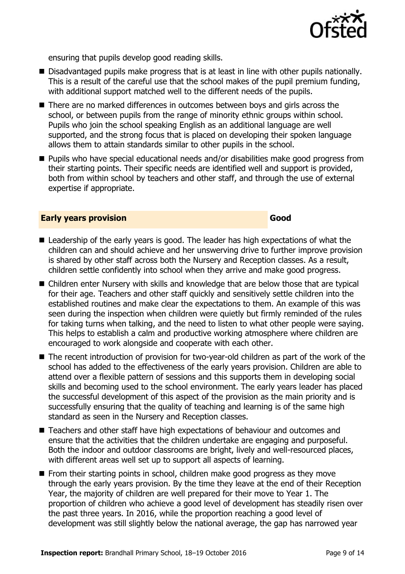

ensuring that pupils develop good reading skills.

- Disadvantaged pupils make progress that is at least in line with other pupils nationally. This is a result of the careful use that the school makes of the pupil premium funding, with additional support matched well to the different needs of the pupils.
- There are no marked differences in outcomes between boys and girls across the school, or between pupils from the range of minority ethnic groups within school. Pupils who join the school speaking English as an additional language are well supported, and the strong focus that is placed on developing their spoken language allows them to attain standards similar to other pupils in the school.
- Pupils who have special educational needs and/or disabilities make good progress from their starting points. Their specific needs are identified well and support is provided, both from within school by teachers and other staff, and through the use of external expertise if appropriate.

### **Early years provision Good Good**

- Leadership of the early years is good. The leader has high expectations of what the children can and should achieve and her unswerving drive to further improve provision is shared by other staff across both the Nursery and Reception classes. As a result, children settle confidently into school when they arrive and make good progress.
- Children enter Nursery with skills and knowledge that are below those that are typical for their age. Teachers and other staff quickly and sensitively settle children into the established routines and make clear the expectations to them. An example of this was seen during the inspection when children were quietly but firmly reminded of the rules for taking turns when talking, and the need to listen to what other people were saying. This helps to establish a calm and productive working atmosphere where children are encouraged to work alongside and cooperate with each other.
- The recent introduction of provision for two-year-old children as part of the work of the school has added to the effectiveness of the early years provision. Children are able to attend over a flexible pattern of sessions and this supports them in developing social skills and becoming used to the school environment. The early years leader has placed the successful development of this aspect of the provision as the main priority and is successfully ensuring that the quality of teaching and learning is of the same high standard as seen in the Nursery and Reception classes.
- Teachers and other staff have high expectations of behaviour and outcomes and ensure that the activities that the children undertake are engaging and purposeful. Both the indoor and outdoor classrooms are bright, lively and well-resourced places, with different areas well set up to support all aspects of learning.
- $\blacksquare$  From their starting points in school, children make good progress as they move through the early years provision. By the time they leave at the end of their Reception Year, the majority of children are well prepared for their move to Year 1. The proportion of children who achieve a good level of development has steadily risen over the past three years. In 2016, while the proportion reaching a good level of development was still slightly below the national average, the gap has narrowed year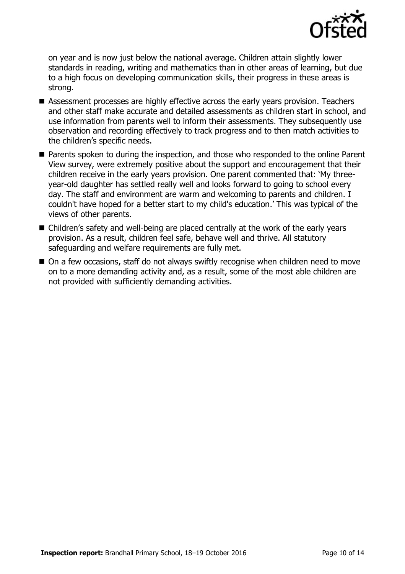

on year and is now just below the national average. Children attain slightly lower standards in reading, writing and mathematics than in other areas of learning, but due to a high focus on developing communication skills, their progress in these areas is strong.

- Assessment processes are highly effective across the early years provision. Teachers and other staff make accurate and detailed assessments as children start in school, and use information from parents well to inform their assessments. They subsequently use observation and recording effectively to track progress and to then match activities to the children's specific needs.
- **Parents spoken to during the inspection, and those who responded to the online Parent** View survey, were extremely positive about the support and encouragement that their children receive in the early years provision. One parent commented that: 'My threeyear-old daughter has settled really well and looks forward to going to school every day. The staff and environment are warm and welcoming to parents and children. I couldn't have hoped for a better start to my child's education.' This was typical of the views of other parents.
- Children's safety and well-being are placed centrally at the work of the early years provision. As a result, children feel safe, behave well and thrive. All statutory safeguarding and welfare requirements are fully met.
- On a few occasions, staff do not always swiftly recognise when children need to move on to a more demanding activity and, as a result, some of the most able children are not provided with sufficiently demanding activities.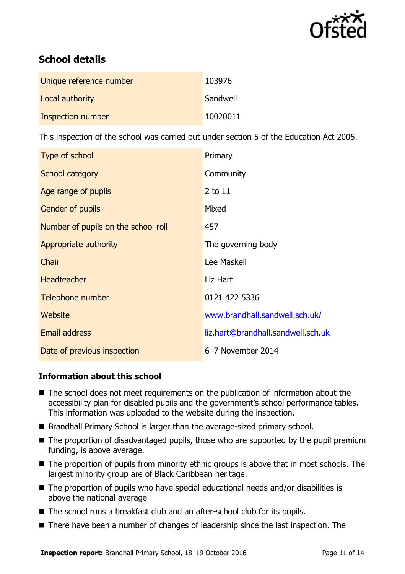

# **School details**

| Unique reference number  | 103976   |
|--------------------------|----------|
| Local authority          | Sandwell |
| <b>Inspection number</b> | 10020011 |

This inspection of the school was carried out under section 5 of the Education Act 2005.

| Type of school                      | Primary                            |
|-------------------------------------|------------------------------------|
| School category                     | Community                          |
| Age range of pupils                 | 2 to 11                            |
| Gender of pupils                    | Mixed                              |
| Number of pupils on the school roll | 457                                |
| Appropriate authority               | The governing body                 |
| Chair                               | Lee Maskell                        |
| <b>Headteacher</b>                  | Liz Hart                           |
| Telephone number                    | 0121 422 5336                      |
| Website                             | www.brandhall.sandwell.sch.uk/     |
| Email address                       | liz.hart@brandhall.sandwell.sch.uk |
| Date of previous inspection         | 6-7 November 2014                  |

### **Information about this school**

- The school does not meet requirements on the publication of information about the accessibility plan for disabled pupils and the government's school performance tables. This information was uploaded to the website during the inspection.
- Brandhall Primary School is larger than the average-sized primary school.
- The proportion of disadvantaged pupils, those who are supported by the pupil premium funding, is above average.
- The proportion of pupils from minority ethnic groups is above that in most schools. The largest minority group are of Black Caribbean heritage.
- The proportion of pupils who have special educational needs and/or disabilities is above the national average
- The school runs a breakfast club and an after-school club for its pupils.
- There have been a number of changes of leadership since the last inspection. The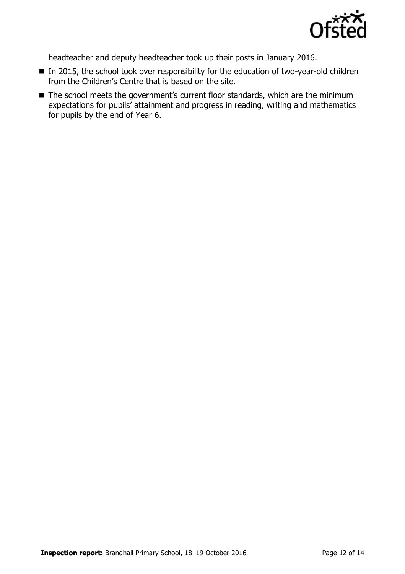

headteacher and deputy headteacher took up their posts in January 2016.

- In 2015, the school took over responsibility for the education of two-year-old children from the Children's Centre that is based on the site.
- The school meets the government's current floor standards, which are the minimum expectations for pupils' attainment and progress in reading, writing and mathematics for pupils by the end of Year 6.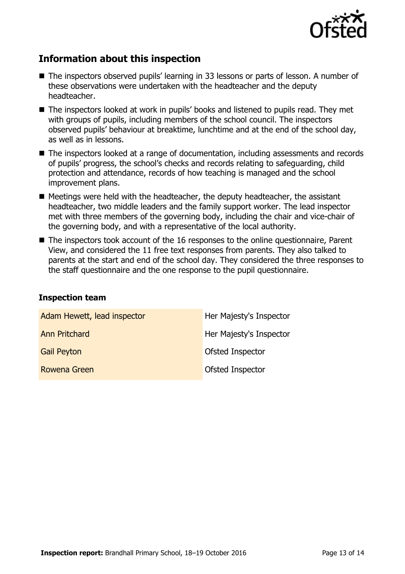

## **Information about this inspection**

- The inspectors observed pupils' learning in 33 lessons or parts of lesson. A number of these observations were undertaken with the headteacher and the deputy headteacher.
- The inspectors looked at work in pupils' books and listened to pupils read. They met with groups of pupils, including members of the school council. The inspectors observed pupils' behaviour at breaktime, lunchtime and at the end of the school day, as well as in lessons.
- The inspectors looked at a range of documentation, including assessments and records of pupils' progress, the school's checks and records relating to safeguarding, child protection and attendance, records of how teaching is managed and the school improvement plans.
- $\blacksquare$  Meetings were held with the headteacher, the deputy headteacher, the assistant headteacher, two middle leaders and the family support worker. The lead inspector met with three members of the governing body, including the chair and vice-chair of the governing body, and with a representative of the local authority.
- The inspectors took account of the 16 responses to the online questionnaire, Parent View, and considered the 11 free text responses from parents. They also talked to parents at the start and end of the school day. They considered the three responses to the staff questionnaire and the one response to the pupil questionnaire.

### **Inspection team**

| Adam Hewett, lead inspector | Her Majesty's Inspector |
|-----------------------------|-------------------------|
| <b>Ann Pritchard</b>        | Her Majesty's Inspector |
| <b>Gail Peyton</b>          | Ofsted Inspector        |
| Rowena Green                | Ofsted Inspector        |